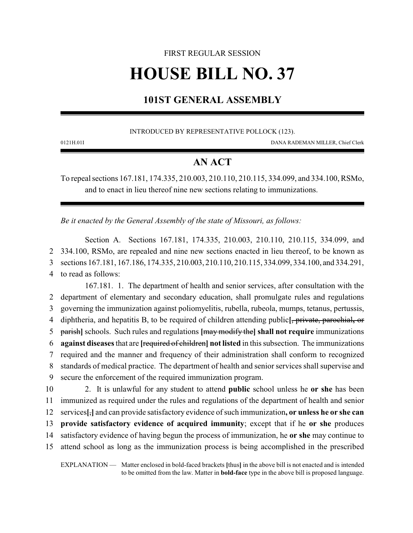# FIRST REGULAR SESSION **HOUSE BILL NO. 37**

# **101ST GENERAL ASSEMBLY**

INTRODUCED BY REPRESENTATIVE POLLOCK (123).

0121H.01I DANA RADEMAN MILLER, Chief Clerk

# **AN ACT**

To repeal sections 167.181, 174.335, 210.003, 210.110, 210.115, 334.099, and 334.100, RSMo, and to enact in lieu thereof nine new sections relating to immunizations.

*Be it enacted by the General Assembly of the state of Missouri, as follows:*

Section A. Sections 167.181, 174.335, 210.003, 210.110, 210.115, 334.099, and 334.100, RSMo, are repealed and nine new sections enacted in lieu thereof, to be known as sections 167.181, 167.186, 174.335, 210.003, 210.110, 210.115, 334.099, 334.100, and 334.291, to read as follows:

167.181. 1. The department of health and senior services, after consultation with the department of elementary and secondary education, shall promulgate rules and regulations governing the immunization against poliomyelitis, rubella, rubeola, mumps, tetanus, pertussis, diphtheria, and hepatitis B, to be required of children attending public**[**, private, parochial**,** or parish**]** schools. Such rules and regulations **[**may modify the**] shall not require** immunizations **against diseases**that are **[**required of children**] not listed** in this subsection. The immunizations required and the manner and frequency of their administration shall conform to recognized standards of medical practice. The department of health and senior services shall supervise and secure the enforcement of the required immunization program.

 2. It is unlawful for any student to attend **public** school unless he **or she** has been immunized as required under the rules and regulations of the department of health and senior services**[**,**]** and can provide satisfactory evidence of such immunization**, or unless he or she can provide satisfactory evidence of acquired immunity**; except that if he **or she** produces satisfactory evidence of having begun the process of immunization, he **or she** may continue to attend school as long as the immunization process is being accomplished in the prescribed

EXPLANATION — Matter enclosed in bold-faced brackets **[**thus**]** in the above bill is not enacted and is intended to be omitted from the law. Matter in **bold-face** type in the above bill is proposed language.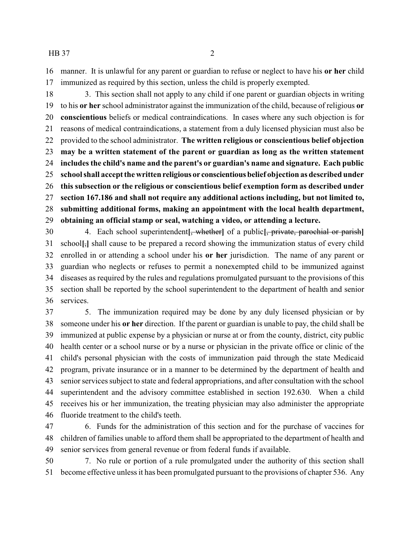manner. It is unlawful for any parent or guardian to refuse or neglect to have his **or her** child immunized as required by this section, unless the child is properly exempted.

18 3. This section shall not apply to any child if one parent or guardian objects in writing to his **or her** school administrator against the immunization of the child, because of religious **or conscientious** beliefs or medical contraindications. In cases where any such objection is for reasons of medical contraindications, a statement from a duly licensed physician must also be provided to the school administrator. **The written religious or conscientious belief objection may be a written statement of the parent or guardian as long as the written statement includes the child's name and the parent's or guardian's name and signature. Each public school shall accept the written religious or conscientious belief objection as described under this subsection or the religious or conscientious belief exemption form as described under section 167.186 and shall not require any additional actions including, but not limited to, submitting additional forms, making an appointment with the local health department, obtaining an official stamp or seal, watching a video, or attending a lecture.**

 4. Each school superintendent**[**, whether**]** of a public**[**, private, parochial or parish**]** school**[**,**]** shall cause to be prepared a record showing the immunization status of every child enrolled in or attending a school under his **or her** jurisdiction. The name of any parent or guardian who neglects or refuses to permit a nonexempted child to be immunized against diseases as required by the rules and regulations promulgated pursuant to the provisions of this section shall be reported by the school superintendent to the department of health and senior services.

 5. The immunization required may be done by any duly licensed physician or by someone under his **or her** direction. If the parent or guardian is unable to pay, the child shall be immunized at public expense by a physician or nurse at or from the county, district, city public health center or a school nurse or by a nurse or physician in the private office or clinic of the child's personal physician with the costs of immunization paid through the state Medicaid program, private insurance or in a manner to be determined by the department of health and senior services subject to state and federal appropriations, and after consultation with the school superintendent and the advisory committee established in section 192.630. When a child receives his or her immunization, the treating physician may also administer the appropriate fluoride treatment to the child's teeth.

 6. Funds for the administration of this section and for the purchase of vaccines for children of families unable to afford them shall be appropriated to the department of health and senior services from general revenue or from federal funds if available.

 7. No rule or portion of a rule promulgated under the authority of this section shall become effective unless it has been promulgated pursuant to the provisions of chapter 536. Any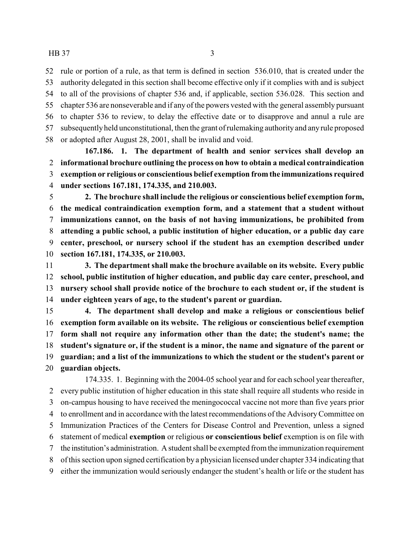rule or portion of a rule, as that term is defined in section 536.010, that is created under the authority delegated in this section shall become effective only if it complies with and is subject to all of the provisions of chapter 536 and, if applicable, section 536.028. This section and chapter 536 are nonseverable and if any of the powers vested with the general assembly pursuant to chapter 536 to review, to delay the effective date or to disapprove and annul a rule are subsequentlyheld unconstitutional, then the grant of rulemaking authorityand any rule proposed or adopted after August 28, 2001, shall be invalid and void.

**167.186. 1. The department of health and senior services shall develop an informational brochure outlining the process on how to obtain a medical contraindication exemption or religious or conscientious belief exemption from the immunizations required under sections 167.181, 174.335, and 210.003.**

 **2. The brochure shall include the religious or conscientious belief exemption form, the medical contraindication exemption form, and a statement that a student without immunizations cannot, on the basis of not having immunizations, be prohibited from attending a public school, a public institution of higher education, or a public day care center, preschool, or nursery school if the student has an exemption described under section 167.181, 174.335, or 210.003.**

 **3. The department shall make the brochure available on its website. Every public school, public institution of higher education, and public day care center, preschool, and nursery school shall provide notice of the brochure to each student or, if the student is under eighteen years of age, to the student's parent or guardian.**

 **4. The department shall develop and make a religious or conscientious belief exemption form available on its website. The religious or conscientious belief exemption form shall not require any information other than the date; the student's name; the student's signature or, if the student is a minor, the name and signature of the parent or guardian; and a list of the immunizations to which the student or the student's parent or guardian objects.**

174.335. 1. Beginning with the 2004-05 school year and for each school year thereafter, every public institution of higher education in this state shall require all students who reside in on-campus housing to have received the meningococcal vaccine not more than five years prior to enrollment and in accordance with the latest recommendations of the AdvisoryCommittee on Immunization Practices of the Centers for Disease Control and Prevention, unless a signed statement of medical **exemption** or religious **or conscientious belief** exemption is on file with the institution's administration. A student shall be exempted from the immunization requirement of this section upon signed certification by a physician licensed under chapter 334 indicating that either the immunization would seriously endanger the student's health or life or the student has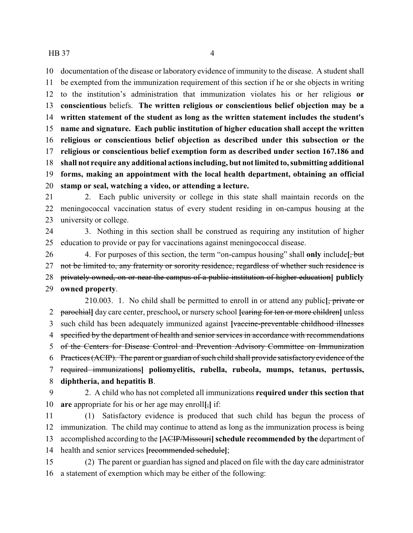documentation of the disease or laboratory evidence of immunity to the disease. A student shall be exempted from the immunization requirement of this section if he or she objects in writing to the institution's administration that immunization violates his or her religious **or conscientious** beliefs. **The written religious or conscientious belief objection may be a written statement of the student as long as the written statement includes the student's name and signature. Each public institution of higher education shall accept the written religious or conscientious belief objection as described under this subsection or the religious or conscientious belief exemption form as described under section 167.186 and shall not require any additional actions including, but not limited to, submitting additional forms, making an appointment with the local health department, obtaining an official stamp or seal, watching a video, or attending a lecture.**

 2. Each public university or college in this state shall maintain records on the meningococcal vaccination status of every student residing in on-campus housing at the university or college.

 3. Nothing in this section shall be construed as requiring any institution of higher education to provide or pay for vaccinations against meningococcal disease.

 4. For purposes of this section, the term "on-campus housing" shall **only** include**[**, but 27 not be limited to, any fraternity or sorority residence, regardless of whether such residence is privately owned, on or near the campus of a public institution of higher education**] publicly owned property**.

210.003. 1. No child shall be permitted to enroll in or attend any public**[**, private or parochial**]** day care center, preschool**,** or nursery school **[**caring for ten or more children**]** unless such child has been adequately immunized against **[**vaccine-preventable childhood illnesses 4 specified by the department of health and senior services in accordance with recommendations of the Centers for Disease Control and Prevention Advisory Committee on Immunization Practices (ACIP). The parent or guardian of such child shall provide satisfactory evidence of the required immunizations**] poliomyelitis, rubella, rubeola, mumps, tetanus, pertussis, diphtheria, and hepatitis B**.

 2. A child who has not completed all immunizations **required under this section that are** appropriate for his or her age may enroll**[**,**]** if:

 (1) Satisfactory evidence is produced that such child has begun the process of immunization. The child may continue to attend as long as the immunization process is being accomplished according to the **[**ACIP/Missouri**] schedule recommended by the** department of health and senior services **[**recommended schedule**]**;

 (2) The parent or guardian has signed and placed on file with the day care administrator a statement of exemption which may be either of the following: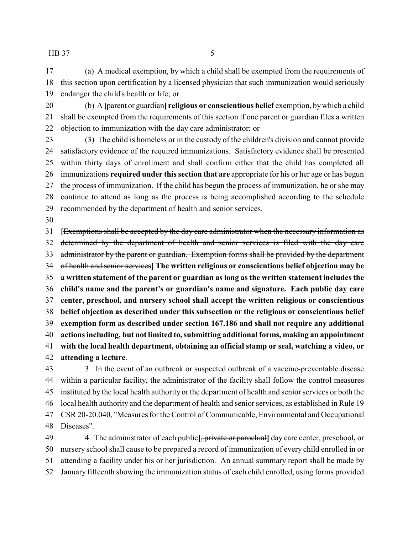(a) A medical exemption, by which a child shall be exempted from the requirements of this section upon certification by a licensed physician that such immunization would seriously endanger the child's health or life; or

 (b) A **[**parent or guardian**] religious or conscientious belief** exemption, bywhich a child shall be exempted from the requirements of this section if one parent or guardian files a written objection to immunization with the day care administrator; or

 (3) The child is homeless or in the custody of the children's division and cannot provide satisfactory evidence of the required immunizations. Satisfactory evidence shall be presented within thirty days of enrollment and shall confirm either that the child has completed all immunizations **required under this section that are** appropriate for his or her age or has begun the process of immunization. If the child has begun the process of immunization, he or she may continue to attend as long as the process is being accomplished according to the schedule recommended by the department of health and senior services.

 **[**Exemptions shall be accepted by the day care administrator when the necessary information as determined by the department of health and senior services is filed with the day care 33 administrator by the parent or guardian. Exemption forms shall be provided by the department of health and senior services**] The written religious or conscientious belief objection may be a written statement of the parent or guardian as long as the written statement includes the child's name and the parent's or guardian's name and signature. Each public day care center, preschool, and nursery school shall accept the written religious or conscientious belief objection as described under this subsection or the religious or conscientious belief exemption form as described under section 167.186 and shall not require any additional actions including, but not limited to, submitting additional forms, making an appointment with the local health department, obtaining an official stamp or seal, watching a video, or attending a lecture**.

 3. In the event of an outbreak or suspected outbreak of a vaccine-preventable disease within a particular facility, the administrator of the facility shall follow the control measures instituted by the local health authority or the department of health and senior services or both the local health authority and the department of health and senior services, as established in Rule 19 CSR 20-20.040, "Measures for the Control of Communicable, Environmental and Occupational Diseases".

 4. The administrator of each public**[**, private or parochial**]** day care center, preschool**,** or nursery school shall cause to be prepared a record of immunization of every child enrolled in or attending a facility under his or her jurisdiction. An annual summary report shall be made by January fifteenth showing the immunization status of each child enrolled, using forms provided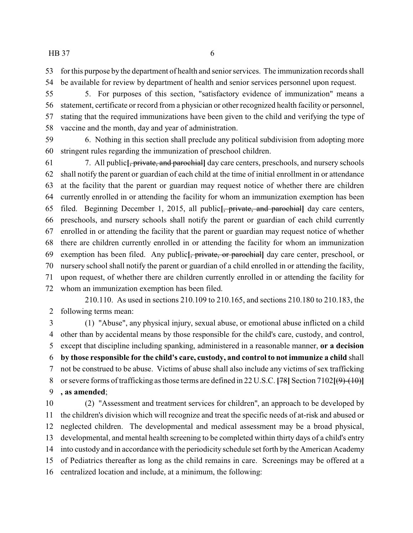for this purpose by the department of health and senior services. The immunization records shall be available for review by department of health and senior services personnel upon request.

 5. For purposes of this section, "satisfactory evidence of immunization" means a statement, certificate or record from a physician or other recognized health facility or personnel, stating that the required immunizations have been given to the child and verifying the type of vaccine and the month, day and year of administration.

 6. Nothing in this section shall preclude any political subdivision from adopting more stringent rules regarding the immunization of preschool children.

 7. All public**[**, private, and parochial**]** day care centers, preschools, and nursery schools shall notify the parent or guardian of each child at the time of initial enrollment in or attendance at the facility that the parent or guardian may request notice of whether there are children currently enrolled in or attending the facility for whom an immunization exemption has been filed. Beginning December 1, 2015, all public**[**, private, and parochial**]** day care centers, preschools, and nursery schools shall notify the parent or guardian of each child currently enrolled in or attending the facility that the parent or guardian may request notice of whether there are children currently enrolled in or attending the facility for whom an immunization exemption has been filed. Any public**[**, private, or parochial**]** day care center, preschool, or nursery school shall notify the parent or guardian of a child enrolled in or attending the facility, upon request, of whether there are children currently enrolled in or attending the facility for whom an immunization exemption has been filed.

210.110. As used in sections 210.109 to 210.165, and sections 210.180 to 210.183, the following terms mean:

 (1) "Abuse", any physical injury, sexual abuse, or emotional abuse inflicted on a child other than by accidental means by those responsible for the child's care, custody, and control, except that discipline including spanking, administered in a reasonable manner, **or a decision by those responsible for the child's care, custody, and control to not immunize a child** shall not be construed to be abuse. Victims of abuse shall also include any victims of sex trafficking or severe forms of trafficking as those terms are defined in 22 U.S.C. **[**78**]** Section 7102**[**(9)-(10)**] , as amended**;

 (2) "Assessment and treatment services for children", an approach to be developed by the children's division which will recognize and treat the specific needs of at-risk and abused or neglected children. The developmental and medical assessment may be a broad physical, developmental, and mental health screening to be completed within thirty days of a child's entry into custody and in accordance with the periodicity schedule set forth by the American Academy of Pediatrics thereafter as long as the child remains in care. Screenings may be offered at a centralized location and include, at a minimum, the following: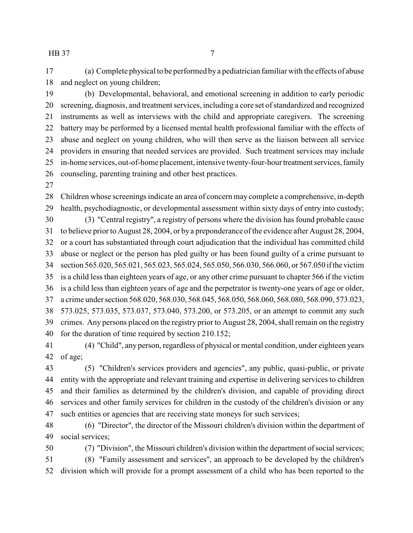(a) Complete physical to be performed by a pediatrician familiar with the effects of abuse and neglect on young children;

 (b) Developmental, behavioral, and emotional screening in addition to early periodic screening, diagnosis, and treatment services, including a core set of standardized and recognized instruments as well as interviews with the child and appropriate caregivers. The screening battery may be performed by a licensed mental health professional familiar with the effects of abuse and neglect on young children, who will then serve as the liaison between all service providers in ensuring that needed services are provided. Such treatment services may include 25 in-home services, out-of-home placement, intensive twenty-four-hour treatment services, family counseling, parenting training and other best practices.

 Children whose screenings indicate an area of concern may complete a comprehensive, in-depth health, psychodiagnostic, or developmental assessment within sixty days of entry into custody; (3) "Central registry", a registry of persons where the division has found probable cause to believe prior to August 28, 2004, or by a preponderance of the evidence after August 28, 2004, or a court has substantiated through court adjudication that the individual has committed child abuse or neglect or the person has pled guilty or has been found guilty of a crime pursuant to section 565.020, 565.021, 565.023, 565.024, 565.050, 566.030, 566.060, or 567.050 ifthe victim is a child less than eighteen years of age, or any other crime pursuant to chapter 566 if the victim is a child less than eighteen years of age and the perpetrator is twenty-one years of age or older, a crime under section 568.020, 568.030, 568.045, 568.050, 568.060, 568.080, 568.090, 573.023, 573.025, 573.035, 573.037, 573.040, 573.200, or 573.205, or an attempt to commit any such crimes. Any persons placed on the registry prior to August 28, 2004, shall remain on the registry for the duration of time required by section 210.152;

 (4) "Child", any person, regardless of physical or mental condition, under eighteen years of age;

 (5) "Children's services providers and agencies", any public, quasi-public, or private entity with the appropriate and relevant training and expertise in delivering services to children and their families as determined by the children's division, and capable of providing direct services and other family services for children in the custody of the children's division or any such entities or agencies that are receiving state moneys for such services;

 (6) "Director", the director of the Missouri children's division within the department of social services;

 (7) "Division", the Missouri children's division within the department of social services; (8) "Family assessment and services", an approach to be developed by the children's division which will provide for a prompt assessment of a child who has been reported to the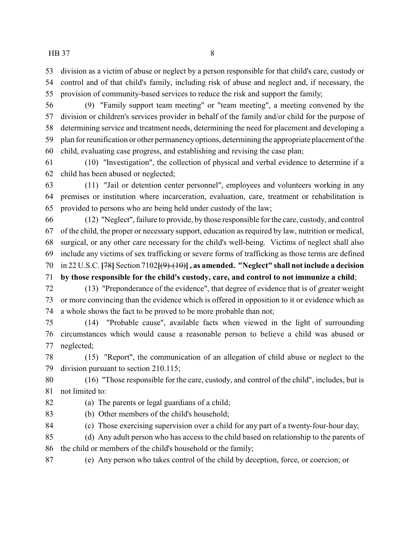division as a victim of abuse or neglect by a person responsible for that child's care, custody or control and of that child's family, including risk of abuse and neglect and, if necessary, the provision of community-based services to reduce the risk and support the family;

 (9) "Family support team meeting" or "team meeting", a meeting convened by the division or children's services provider in behalf of the family and/or child for the purpose of determining service and treatment needs, determining the need for placement and developing a plan for reunification or other permanencyoptions, determining the appropriate placement of the child, evaluating case progress, and establishing and revising the case plan;

 (10) "Investigation", the collection of physical and verbal evidence to determine if a child has been abused or neglected;

 (11) "Jail or detention center personnel", employees and volunteers working in any premises or institution where incarceration, evaluation, care, treatment or rehabilitation is provided to persons who are being held under custody of the law;

 (12) "Neglect", failure to provide, by those responsible for the care, custody, and control of the child, the proper or necessary support, education as required by law, nutrition or medical, surgical, or any other care necessary for the child's well-being. Victims of neglect shall also include any victims of sex trafficking or severe forms of trafficking as those terms are defined in 22 U.S.C. **[**78**]** Section 7102**[**(9)-(10)**] , as amended. "Neglect" shall not include a decision**

**by those responsible for the child's custody, care, and control to not immunize a child**;

 (13) "Preponderance of the evidence", that degree of evidence that is of greater weight or more convincing than the evidence which is offered in opposition to it or evidence which as a whole shows the fact to be proved to be more probable than not;

 (14) "Probable cause", available facts when viewed in the light of surrounding circumstances which would cause a reasonable person to believe a child was abused or neglected;

 (15) "Report", the communication of an allegation of child abuse or neglect to the division pursuant to section 210.115;

 (16) "Those responsible for the care, custody, and control of the child", includes, but is not limited to:

(a) The parents or legal guardians of a child;

(b) Other members of the child's household;

(c) Those exercising supervision over a child for any part of a twenty-four-hour day;

(d) Any adult person who has access to the child based on relationship to the parents of

the child or members of the child's household or the family;

(e) Any person who takes control of the child by deception, force, or coercion; or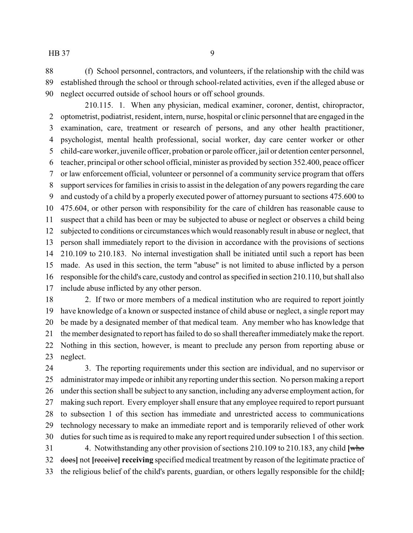(f) School personnel, contractors, and volunteers, if the relationship with the child was established through the school or through school-related activities, even if the alleged abuse or neglect occurred outside of school hours or off school grounds.

210.115. 1. When any physician, medical examiner, coroner, dentist, chiropractor, optometrist, podiatrist, resident, intern, nurse, hospital or clinic personnel that are engaged in the examination, care, treatment or research of persons, and any other health practitioner, psychologist, mental health professional, social worker, day care center worker or other child-care worker, juvenile officer, probation or parole officer, jail or detention center personnel, teacher, principal or other school official, minister as provided by section 352.400, peace officer or law enforcement official, volunteer or personnel of a community service program that offers support services for families in crisis to assist in the delegation of any powers regarding the care and custody of a child by a properly executed power of attorney pursuant to sections 475.600 to 475.604, or other person with responsibility for the care of children has reasonable cause to suspect that a child has been or may be subjected to abuse or neglect or observes a child being subjected to conditions or circumstances which would reasonably result in abuse or neglect, that person shall immediately report to the division in accordance with the provisions of sections 210.109 to 210.183. No internal investigation shall be initiated until such a report has been made. As used in this section, the term "abuse" is not limited to abuse inflicted by a person responsible for the child's care, custody and control as specified in section 210.110, but shall also include abuse inflicted by any other person.

 2. If two or more members of a medical institution who are required to report jointly have knowledge of a known or suspected instance of child abuse or neglect, a single report may be made by a designated member of that medical team. Any member who has knowledge that the member designated to report has failed to do so shall thereafter immediatelymake the report. Nothing in this section, however, is meant to preclude any person from reporting abuse or neglect.

 3. The reporting requirements under this section are individual, and no supervisor or administrator may impede or inhibit any reporting under this section. No person making a report under this section shall be subject to any sanction, including any adverse employment action, for making such report. Every employer shall ensure that any employee required to report pursuant to subsection 1 of this section has immediate and unrestricted access to communications technology necessary to make an immediate report and is temporarily relieved of other work duties for such time as is required to make any report required under subsection 1 of this section. 4. Notwithstanding any other provision of sections 210.109 to 210.183, any child **[**who does**]** not **[**receive**] receiving** specified medical treatment by reason of the legitimate practice of

the religious belief of the child's parents, guardian, or others legally responsible for the child**[**,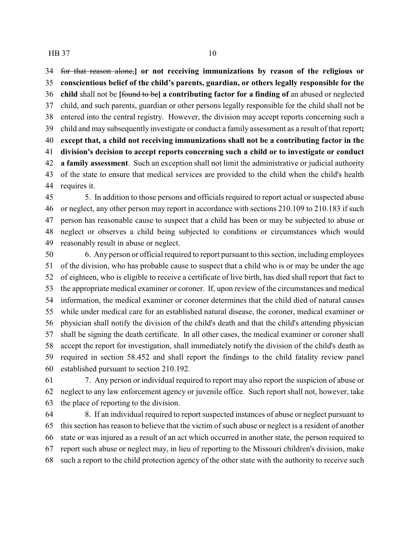for that reason alone,**] or not receiving immunizations by reason of the religious or conscientious belief of the child's parents, guardian, or others legally responsible for the child** shall not be **[**found to be**] a contributing factor for a finding of** an abused or neglected child, and such parents, guardian or other persons legally responsible for the child shall not be entered into the central registry. However, the division may accept reports concerning such a child and may subsequently investigate or conduct a family assessment as a result of that report**; except that, a child not receiving immunizations shall not be a contributing factor in the division's decision to accept reports concerning such a child or to investigate or conduct a family assessment**. Such an exception shall not limit the administrative or judicial authority of the state to ensure that medical services are provided to the child when the child's health requires it.

 5. In addition to those persons and officials required to report actual or suspected abuse or neglect, any other person may report in accordance with sections 210.109 to 210.183 if such person has reasonable cause to suspect that a child has been or may be subjected to abuse or neglect or observes a child being subjected to conditions or circumstances which would reasonably result in abuse or neglect.

 6. Any person or official required to report pursuant to this section, including employees of the division, who has probable cause to suspect that a child who is or may be under the age of eighteen, who is eligible to receive a certificate of live birth, has died shall report that fact to the appropriate medical examiner or coroner. If, upon review of the circumstances and medical information, the medical examiner or coroner determines that the child died of natural causes while under medical care for an established natural disease, the coroner, medical examiner or physician shall notify the division of the child's death and that the child's attending physician shall be signing the death certificate. In all other cases, the medical examiner or coroner shall accept the report for investigation, shall immediately notify the division of the child's death as required in section 58.452 and shall report the findings to the child fatality review panel established pursuant to section 210.192.

 7. Any person or individual required to report may also report the suspicion of abuse or neglect to any law enforcement agency or juvenile office. Such report shall not, however, take the place of reporting to the division.

 8. If an individual required to report suspected instances of abuse or neglect pursuant to this section has reason to believe that the victim of such abuse or neglect is a resident of another state or was injured as a result of an act which occurred in another state, the person required to report such abuse or neglect may, in lieu of reporting to the Missouri children's division, make such a report to the child protection agency of the other state with the authority to receive such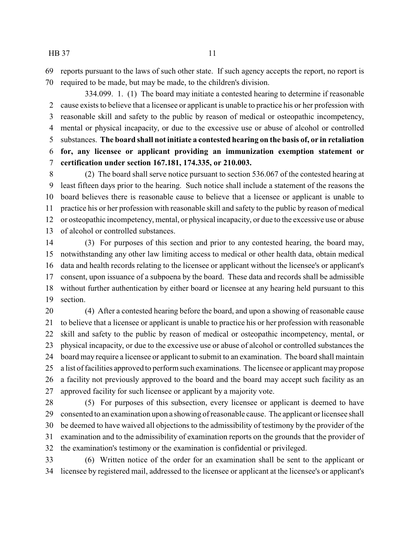reports pursuant to the laws of such other state. If such agency accepts the report, no report is required to be made, but may be made, to the children's division.

334.099. 1. (1) The board may initiate a contested hearing to determine if reasonable cause exists to believe that a licensee or applicant is unable to practice his or her profession with reasonable skill and safety to the public by reason of medical or osteopathic incompetency, mental or physical incapacity, or due to the excessive use or abuse of alcohol or controlled substances. **The board shall not initiate a contested hearing on the basis of, or in retaliation for, any licensee or applicant providing an immunization exemption statement or certification under section 167.181, 174.335, or 210.003.**

 (2) The board shall serve notice pursuant to section 536.067 of the contested hearing at least fifteen days prior to the hearing. Such notice shall include a statement of the reasons the board believes there is reasonable cause to believe that a licensee or applicant is unable to practice his or her profession with reasonable skill and safety to the public by reason of medical or osteopathic incompetency, mental, or physical incapacity, or due to the excessive use or abuse of alcohol or controlled substances.

 (3) For purposes of this section and prior to any contested hearing, the board may, notwithstanding any other law limiting access to medical or other health data, obtain medical data and health records relating to the licensee or applicant without the licensee's or applicant's consent, upon issuance of a subpoena by the board. These data and records shall be admissible without further authentication by either board or licensee at any hearing held pursuant to this section.

 (4) After a contested hearing before the board, and upon a showing of reasonable cause to believe that a licensee or applicant is unable to practice his or her profession with reasonable skill and safety to the public by reason of medical or osteopathic incompetency, mental, or physical incapacity, or due to the excessive use or abuse of alcohol or controlled substances the board may require a licensee or applicant to submit to an examination. The board shall maintain a list of facilities approved to perform such examinations. The licensee or applicant may propose a facility not previously approved to the board and the board may accept such facility as an approved facility for such licensee or applicant by a majority vote.

 (5) For purposes of this subsection, every licensee or applicant is deemed to have consented to an examination upon a showing of reasonable cause. The applicant or licensee shall be deemed to have waived all objections to the admissibility of testimony by the provider of the examination and to the admissibility of examination reports on the grounds that the provider of the examination's testimony or the examination is confidential or privileged.

 (6) Written notice of the order for an examination shall be sent to the applicant or licensee by registered mail, addressed to the licensee or applicant at the licensee's or applicant's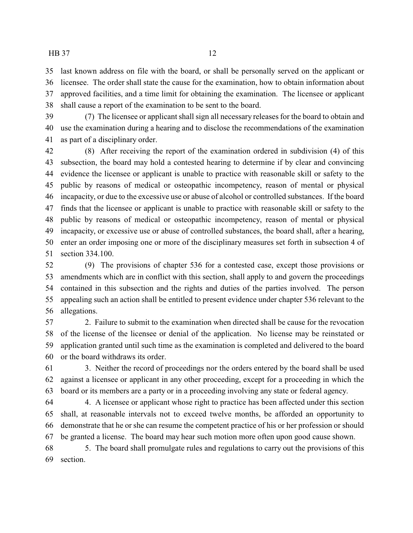last known address on file with the board, or shall be personally served on the applicant or licensee. The order shall state the cause for the examination, how to obtain information about approved facilities, and a time limit for obtaining the examination. The licensee or applicant shall cause a report of the examination to be sent to the board.

 (7) The licensee or applicant shall sign all necessary releases for the board to obtain and use the examination during a hearing and to disclose the recommendations of the examination as part of a disciplinary order.

 (8) After receiving the report of the examination ordered in subdivision (4) of this subsection, the board may hold a contested hearing to determine if by clear and convincing evidence the licensee or applicant is unable to practice with reasonable skill or safety to the public by reasons of medical or osteopathic incompetency, reason of mental or physical incapacity, or due to the excessive use or abuse of alcohol or controlled substances. If the board finds that the licensee or applicant is unable to practice with reasonable skill or safety to the public by reasons of medical or osteopathic incompetency, reason of mental or physical incapacity, or excessive use or abuse of controlled substances, the board shall, after a hearing, enter an order imposing one or more of the disciplinary measures set forth in subsection 4 of section 334.100.

 (9) The provisions of chapter 536 for a contested case, except those provisions or amendments which are in conflict with this section, shall apply to and govern the proceedings contained in this subsection and the rights and duties of the parties involved. The person appealing such an action shall be entitled to present evidence under chapter 536 relevant to the allegations.

 2. Failure to submit to the examination when directed shall be cause for the revocation of the license of the licensee or denial of the application. No license may be reinstated or application granted until such time as the examination is completed and delivered to the board or the board withdraws its order.

 3. Neither the record of proceedings nor the orders entered by the board shall be used against a licensee or applicant in any other proceeding, except for a proceeding in which the board or its members are a party or in a proceeding involving any state or federal agency.

 4. A licensee or applicant whose right to practice has been affected under this section shall, at reasonable intervals not to exceed twelve months, be afforded an opportunity to demonstrate that he or she can resume the competent practice of his or her profession or should be granted a license. The board may hear such motion more often upon good cause shown.

 5. The board shall promulgate rules and regulations to carry out the provisions of this section.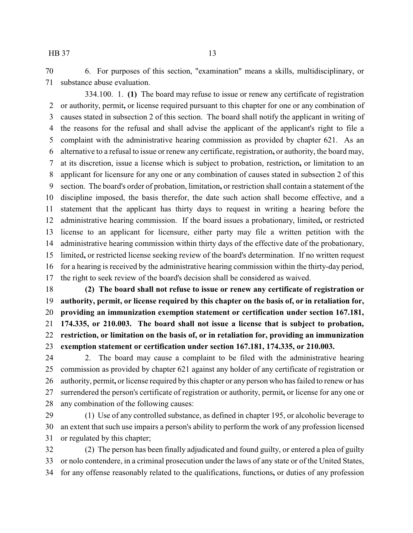6. For purposes of this section, "examination" means a skills, multidisciplinary, or substance abuse evaluation.

334.100. 1. **(1)** The board may refuse to issue or renew any certificate of registration or authority, permit**,** or license required pursuant to this chapter for one or any combination of causes stated in subsection 2 of this section. The board shall notify the applicant in writing of the reasons for the refusal and shall advise the applicant of the applicant's right to file a complaint with the administrative hearing commission as provided by chapter 621. As an alternative to a refusal to issue or renew any certificate, registration**,** or authority, the board may, at its discretion, issue a license which is subject to probation, restriction**,** or limitation to an applicant for licensure for any one or any combination of causes stated in subsection 2 of this section. The board's order of probation, limitation**,** or restriction shall contain a statement of the discipline imposed, the basis therefor, the date such action shall become effective, and a statement that the applicant has thirty days to request in writing a hearing before the administrative hearing commission. If the board issues a probationary, limited**,** or restricted license to an applicant for licensure, either party may file a written petition with the administrative hearing commission within thirty days of the effective date of the probationary, limited**,** or restricted license seeking review of the board's determination. If no written request for a hearing is received by the administrative hearing commission within the thirty-day period, the right to seek review of the board's decision shall be considered as waived.

 **(2) The board shall not refuse to issue or renew any certificate of registration or authority, permit, or license required by this chapter on the basis of, or in retaliation for, providing an immunization exemption statement or certification under section 167.181, 174.335, or 210.003. The board shall not issue a license that is subject to probation, restriction, or limitation on the basis of, or in retaliation for, providing an immunization exemption statement or certification under section 167.181, 174.335, or 210.003.**

 2. The board may cause a complaint to be filed with the administrative hearing commission as provided by chapter 621 against any holder of any certificate of registration or authority, permit**,** or license required by this chapter or any person who has failed to renew or has surrendered the person's certificate of registration or authority, permit**,** or license for any one or any combination of the following causes:

 (1) Use of any controlled substance, as defined in chapter 195, or alcoholic beverage to an extent that such use impairs a person's ability to perform the work of any profession licensed or regulated by this chapter;

 (2) The person has been finally adjudicated and found guilty, or entered a plea of guilty or nolo contendere, in a criminal prosecution under the laws of any state or of the United States, for any offense reasonably related to the qualifications, functions**,** or duties of any profession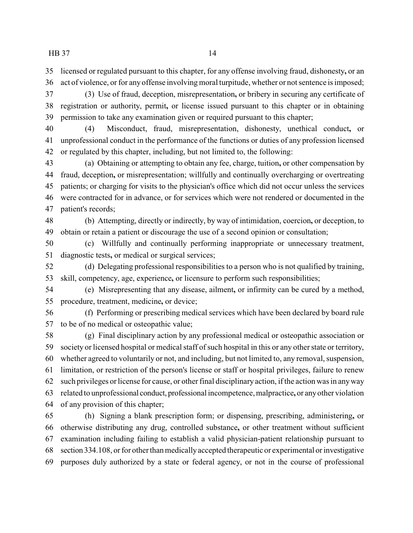licensed or regulated pursuant to this chapter, for any offense involving fraud, dishonesty**,** or an act of violence, or for any offense involving moral turpitude, whether or not sentence is imposed;

 (3) Use of fraud, deception, misrepresentation**,** or bribery in securing any certificate of registration or authority, permit**,** or license issued pursuant to this chapter or in obtaining permission to take any examination given or required pursuant to this chapter;

 (4) Misconduct, fraud, misrepresentation, dishonesty, unethical conduct**,** or unprofessional conduct in the performance of the functions or duties of any profession licensed or regulated by this chapter, including, but not limited to, the following:

 (a) Obtaining or attempting to obtain any fee, charge, tuition**,** or other compensation by fraud, deception**,** or misrepresentation; willfully and continually overcharging or overtreating patients; or charging for visits to the physician's office which did not occur unless the services were contracted for in advance, or for services which were not rendered or documented in the patient's records;

 (b) Attempting, directly or indirectly, by way of intimidation, coercion**,** or deception, to obtain or retain a patient or discourage the use of a second opinion or consultation;

 (c) Willfully and continually performing inappropriate or unnecessary treatment, diagnostic tests**,** or medical or surgical services;

 (d) Delegating professional responsibilities to a person who is not qualified by training, skill, competency, age, experience**,** or licensure to perform such responsibilities;

 (e) Misrepresenting that any disease, ailment**,** or infirmity can be cured by a method, procedure, treatment, medicine**,** or device;

 (f) Performing or prescribing medical services which have been declared by board rule to be of no medical or osteopathic value;

 (g) Final disciplinary action by any professional medical or osteopathic association or society or licensed hospital or medical staff of such hospital in this or any other state or territory, whether agreed to voluntarily or not, and including, but not limited to, any removal, suspension, limitation, or restriction of the person's license or staff or hospital privileges, failure to renew such privileges or license for cause, or other final disciplinary action, if the action was in anyway related to unprofessional conduct, professional incompetence, malpractice**,** or anyother violation of any provision of this chapter;

 (h) Signing a blank prescription form; or dispensing, prescribing, administering**,** or otherwise distributing any drug, controlled substance**,** or other treatment without sufficient examination including failing to establish a valid physician-patient relationship pursuant to section 334.108, or for other than medicallyaccepted therapeutic or experimental or investigative purposes duly authorized by a state or federal agency, or not in the course of professional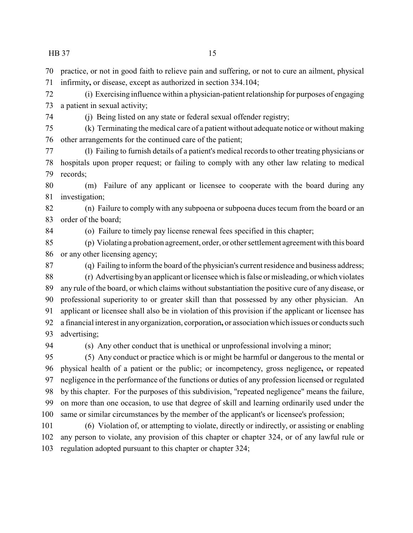practice, or not in good faith to relieve pain and suffering, or not to cure an ailment, physical infirmity**,** or disease, except as authorized in section 334.104;

 (i) Exercising influence within a physician-patient relationship for purposes of engaging a patient in sexual activity;

(j) Being listed on any state or federal sexual offender registry;

 (k) Terminating the medical care of a patient without adequate notice or without making other arrangements for the continued care of the patient;

 (l) Failing to furnish details of a patient's medical records to other treating physicians or hospitals upon proper request; or failing to comply with any other law relating to medical records;

 (m) Failure of any applicant or licensee to cooperate with the board during any investigation;

 (n) Failure to comply with any subpoena or subpoena duces tecum from the board or an order of the board;

(o) Failure to timely pay license renewal fees specified in this chapter;

 (p) Violating a probation agreement, order, or other settlement agreement with this board or any other licensing agency;

(q) Failing to inform the board of the physician's current residence and business address;

 (r) Advertising byan applicant or licensee which is false or misleading, or which violates any rule of the board, or which claims without substantiation the positive cure of any disease, or professional superiority to or greater skill than that possessed by any other physician. An applicant or licensee shall also be in violation of this provision if the applicant or licensee has a financial interest in any organization, corporation**,** or association which issues or conducts such advertising;

(s) Any other conduct that is unethical or unprofessional involving a minor;

 (5) Any conduct or practice which is or might be harmful or dangerous to the mental or physical health of a patient or the public; or incompetency, gross negligence**,** or repeated negligence in the performance of the functions or duties of any profession licensed or regulated by this chapter. For the purposes of this subdivision, "repeated negligence" means the failure, on more than one occasion, to use that degree of skill and learning ordinarily used under the same or similar circumstances by the member of the applicant's or licensee's profession;

 (6) Violation of, or attempting to violate, directly or indirectly, or assisting or enabling any person to violate, any provision of this chapter or chapter 324, or of any lawful rule or regulation adopted pursuant to this chapter or chapter 324;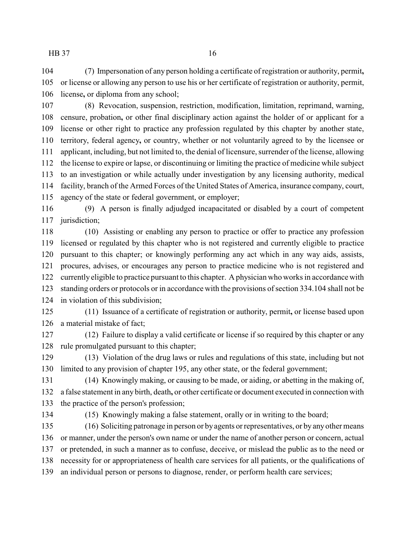(7) Impersonation of any person holding a certificate of registration or authority, permit**,** or license or allowing any person to use his or her certificate of registration or authority, permit, license**,** or diploma from any school;

 (8) Revocation, suspension, restriction, modification, limitation, reprimand, warning, censure, probation**,** or other final disciplinary action against the holder of or applicant for a license or other right to practice any profession regulated by this chapter by another state, territory, federal agency**,** or country, whether or not voluntarily agreed to by the licensee or applicant, including, but not limited to, the denial of licensure, surrender of the license, allowing the license to expire or lapse, or discontinuing or limiting the practice of medicine while subject to an investigation or while actually under investigation by any licensing authority, medical facility, branch of the Armed Forces of the United States of America, insurance company, court, agency of the state or federal government, or employer;

 (9) A person is finally adjudged incapacitated or disabled by a court of competent 117 jurisdiction;

 (10) Assisting or enabling any person to practice or offer to practice any profession licensed or regulated by this chapter who is not registered and currently eligible to practice pursuant to this chapter; or knowingly performing any act which in any way aids, assists, procures, advises, or encourages any person to practice medicine who is not registered and currently eligible to practice pursuant to this chapter. A physician who works in accordance with standing orders or protocols or in accordance with the provisions of section 334.104 shall not be in violation of this subdivision;

 (11) Issuance of a certificate of registration or authority, permit**,** or license based upon a material mistake of fact;

 (12) Failure to display a valid certificate or license if so required by this chapter or any rule promulgated pursuant to this chapter;

 (13) Violation of the drug laws or rules and regulations of this state, including but not limited to any provision of chapter 195, any other state, or the federal government;

 (14) Knowingly making, or causing to be made, or aiding, or abetting in the making of, a false statement in any birth, death**,** or other certificate or document executed in connection with the practice of the person's profession;

(15) Knowingly making a false statement, orally or in writing to the board;

 (16) Soliciting patronage in person or byagents or representatives, or by any other means or manner, under the person's own name or under the name of another person or concern, actual or pretended, in such a manner as to confuse, deceive, or mislead the public as to the need or necessity for or appropriateness of health care services for all patients, or the qualifications of an individual person or persons to diagnose, render, or perform health care services;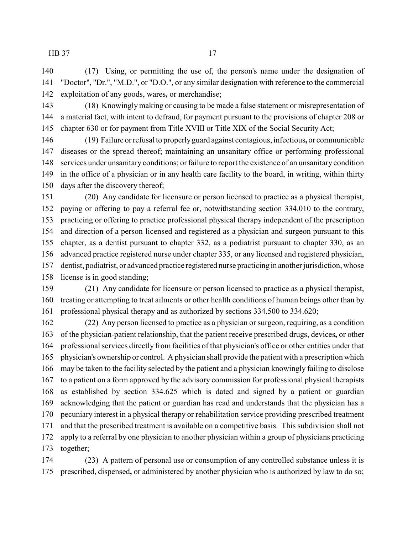(17) Using, or permitting the use of, the person's name under the designation of "Doctor", "Dr.", "M.D.", or "D.O.", or any similar designation with reference to the commercial exploitation of any goods, wares**,** or merchandise;

 (18) Knowinglymaking or causing to be made a false statement or misrepresentation of a material fact, with intent to defraud, for payment pursuant to the provisions of chapter 208 or chapter 630 or for payment from Title XVIII or Title XIX of the Social Security Act;

 (19) Failure or refusal to properlyguard against contagious, infectious**,** or communicable diseases or the spread thereof; maintaining an unsanitary office or performing professional services under unsanitary conditions; or failure to report the existence of an unsanitary condition in the office of a physician or in any health care facility to the board, in writing, within thirty days after the discovery thereof;

 (20) Any candidate for licensure or person licensed to practice as a physical therapist, paying or offering to pay a referral fee or, notwithstanding section 334.010 to the contrary, practicing or offering to practice professional physical therapy independent of the prescription and direction of a person licensed and registered as a physician and surgeon pursuant to this chapter, as a dentist pursuant to chapter 332, as a podiatrist pursuant to chapter 330, as an advanced practice registered nurse under chapter 335, or any licensed and registered physician, dentist, podiatrist, or advanced practice registered nurse practicing in another jurisdiction, whose license is in good standing;

 (21) Any candidate for licensure or person licensed to practice as a physical therapist, treating or attempting to treat ailments or other health conditions of human beings other than by professional physical therapy and as authorized by sections 334.500 to 334.620;

 (22) Any person licensed to practice as a physician or surgeon, requiring, as a condition of the physician-patient relationship, that the patient receive prescribed drugs, devices**,** or other professional services directly from facilities of that physician's office or other entities under that physician's ownership or control. A physician shall provide the patient with a prescription which may be taken to the facility selected by the patient and a physician knowingly failing to disclose to a patient on a form approved by the advisory commission for professional physical therapists as established by section 334.625 which is dated and signed by a patient or guardian acknowledging that the patient or guardian has read and understands that the physician has a pecuniary interest in a physical therapy or rehabilitation service providing prescribed treatment and that the prescribed treatment is available on a competitive basis. This subdivision shall not apply to a referral by one physician to another physician within a group of physicians practicing together;

 (23) A pattern of personal use or consumption of any controlled substance unless it is prescribed, dispensed**,** or administered by another physician who is authorized by law to do so;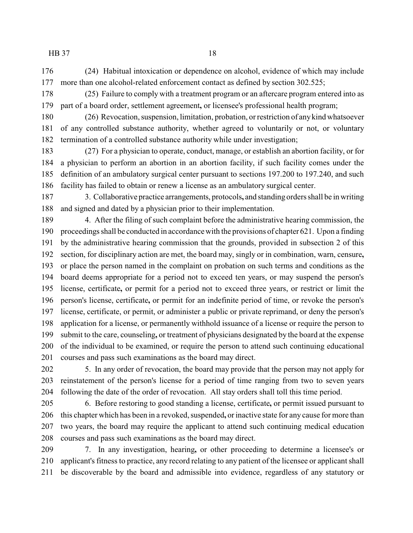(24) Habitual intoxication or dependence on alcohol, evidence of which may include more than one alcohol-related enforcement contact as defined by section 302.525;

 (25) Failure to comply with a treatment program or an aftercare program entered into as part of a board order, settlement agreement**,** or licensee's professional health program;

 (26) Revocation, suspension, limitation, probation, or restriction of anykind whatsoever of any controlled substance authority, whether agreed to voluntarily or not, or voluntary termination of a controlled substance authority while under investigation;

 (27) For a physician to operate, conduct, manage, or establish an abortion facility, or for a physician to perform an abortion in an abortion facility, if such facility comes under the definition of an ambulatory surgical center pursuant to sections 197.200 to 197.240, and such facility has failed to obtain or renew a license as an ambulatory surgical center.

 3. Collaborative practice arrangements, protocols**,** and standing orders shall be in writing and signed and dated by a physician prior to their implementation.

 4. After the filing of such complaint before the administrative hearing commission, the proceedings shall be conducted in accordance with the provisions of chapter 621. Upon a finding by the administrative hearing commission that the grounds, provided in subsection 2 of this section, for disciplinary action are met, the board may, singly or in combination, warn, censure**,** or place the person named in the complaint on probation on such terms and conditions as the board deems appropriate for a period not to exceed ten years, or may suspend the person's license, certificate**,** or permit for a period not to exceed three years, or restrict or limit the person's license, certificate**,** or permit for an indefinite period of time, or revoke the person's license, certificate, or permit, or administer a public or private reprimand, or deny the person's application for a license, or permanently withhold issuance of a license or require the person to submit to the care, counseling**,** or treatment of physicians designated by the board at the expense of the individual to be examined, or require the person to attend such continuing educational courses and pass such examinations as the board may direct.

 5. In any order of revocation, the board may provide that the person may not apply for reinstatement of the person's license for a period of time ranging from two to seven years following the date of the order of revocation. All stay orders shall toll this time period.

 6. Before restoring to good standing a license, certificate**,** or permit issued pursuant to this chapter which has been in a revoked, suspended**,** or inactive state for any cause for more than two years, the board may require the applicant to attend such continuing medical education courses and pass such examinations as the board may direct.

 7. In any investigation, hearing**,** or other proceeding to determine a licensee's or applicant's fitness to practice, any record relating to any patient of the licensee or applicant shall be discoverable by the board and admissible into evidence, regardless of any statutory or